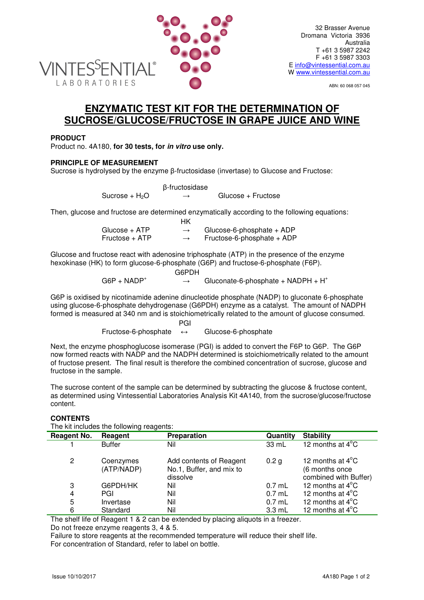

ABN: 60 068 057 045

# **ENZYMATIC TEST KIT FOR THE DETERMINATION OF SUCROSE/GLUCOSE/FRUCTOSE IN GRAPE JUICE AND WINE**

## **PRODUCT**

Product no. 4A180, **for 30 tests, for in vitro use only.**

## **PRINCIPLE OF MEASUREMENT**

Sucrose is hydrolysed by the enzyme β-fructosidase (invertase) to Glucose and Fructose:

|                  | β-fructosidase |                    |
|------------------|----------------|--------------------|
| Sucrose + $H_2O$ | $\rightarrow$  | Glucose + Fructose |

Then, glucose and fructose are determined enzymatically according to the following equations:

|                | НK            |                              |
|----------------|---------------|------------------------------|
| Glucose + ATP  | $\rightarrow$ | Glucose-6-phosphate $+$ ADP  |
| Fructose + ATP | $\rightarrow$ | Fructose-6-phosphate $+$ ADP |

Glucose and fructose react with adenosine triphosphate (ATP) in the presence of the enzyme hexokinase (HK) to form glucose-6-phosphate (G6P) and fructose-6-phosphate (F6P).

|                | G6PDH                                 |
|----------------|---------------------------------------|
| $G6P + NADP^+$ | Gluconate-6-phosphate + $NADPH + H^+$ |

G6P is oxidised by nicotinamide adenine dinucleotide phosphate (NADP) to gluconate 6-phosphate using glucose-6-phosphate dehydrogenase (G6PDH) enzyme as a catalyst. The amount of NADPH formed is measured at 340 nm and is stoichiometrically related to the amount of glucose consumed.

**PGI** PGI 2007 - PGI 2007 - PGI 2007 - PGI

Fructose-6-phosphate ↔ Glucose-6-phosphate

Next, the enzyme phosphoglucose isomerase (PGI) is added to convert the F6P to G6P. The G6P now formed reacts with NADP and the NADPH determined is stoichiometrically related to the amount of fructose present. The final result is therefore the combined concentration of sucrose, glucose and fructose in the sample.

The sucrose content of the sample can be determined by subtracting the glucose & fructose content, as determined using Vintessential Laboratories Analysis Kit 4A140, from the sucrose/glucose/fructose content.

## **CONTENTS**

The kit includes the following reagents:

| Reagent No. | Reagent                 | <b>Preparation</b>                                              | Quantity         | <b>Stability</b>                                                      |  |  |
|-------------|-------------------------|-----------------------------------------------------------------|------------------|-----------------------------------------------------------------------|--|--|
|             | <b>Buffer</b>           | Nil                                                             | 33 mL            | 12 months at $4^{\circ}$ C                                            |  |  |
| 2           | Coenzymes<br>(ATP/NADP) | Add contents of Reagent<br>No.1, Buffer, and mix to<br>dissolve | 0.2 <sub>q</sub> | 12 months at $4^{\circ}$ C<br>(6 months once<br>combined with Buffer) |  |  |
| 3           | G6PDH/HK                | Nil                                                             | $0.7$ mL         | 12 months at $4^{\circ}$ C                                            |  |  |
| 4           | PGI                     | Nil                                                             | $0.7$ mL         | 12 months at $4^{\circ}$ C                                            |  |  |
| 5           | Invertase               | Nil                                                             | $0.7$ mL         | 12 months at $4^{\circ}$ C                                            |  |  |
| 6           | Standard                | Nil                                                             | $3.3$ mL         | 12 months at $4^{\circ}$ C                                            |  |  |

The shelf life of Reagent 1 & 2 can be extended by placing aliquots in a freezer. Do not freeze enzyme reagents 3, 4 & 5.

Failure to store reagents at the recommended temperature will reduce their shelf life. For concentration of Standard, refer to label on bottle.